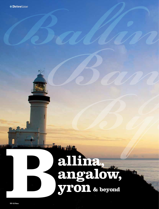# allina,<br>angalow,<br>yron & beyond

小的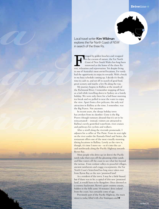

Local travel writer Kim Wildman explores the Far North Coast of NSW in search of the three Rs.

**Balling the state of the fact Northernon State of NSW**<br>
is each of the three Rs.<br>
in search of the three Rs.<br> **Bangalow** is each of the three Rs.<br> **Bangalow** is easient to consider the fact Norwich and we<br>appear the trans Fringed by golden beaches and wrapped<br>
in the cocoon of nature, the Far North<br>
Coast of New South Wales has long bee<br>
renowned as the home of the three Rs:<br>
rest, relaxation and rejuvenation. Yet despite living in the cocoon of nature, the Far North Coast of New South Wales has long been renowned as the home of the three Rs: in one of Australia's most envied locations, I've rarely had the opportunity to enjoy its rewards. With a break in my busy schedule coming up, I decide it's finally time to cash in, and set off in search of good food, great scenery and maybe a few Rs along the way.

My journey begins in Ballina at the mouth of the Richmond River. I remember stopping off here as a kid while travelling down to Sydney on a family holiday. We were only there for a half-hour morning tea break and we pulled in near the water to enjoy the view. Apart from a few pelicans, the only real attraction in Ballina at the time, I remember, was the Big Prawn. Not anymore.

In recent years, the sleepy holiday town has awoken from its slumber. Gone is the Big Prawn (though rumours abound that it's set to be reincarnated) – instead, visitors are attracted to Ballina's newly gentrified waterfront, river cruises and pathways for cyclists and walkers.

*Byron*

After a stroll along the riverside promenade, I adjourn for a coffee at The Point. From its seat right on the river under the Ramada Hotel and Suites, the restaurant offers one of the most visually stunning dining locations in Ballina. Lovely as the view is, though, it's time I move on  $-$  so it's into the car and northwards along the Pacific Highway towards Byron Bay.

Most people who drive up (or down) the Pacific rarely take their eyes off the gleaming white sands and blue waters off the coast to see what lies beyond the tarmac. From verdant valleys to peaceful villages, ancient rainforests and craggy escarpments, the Far North Coast's hinterland has long since taken over from Byron Bay as the new 'promised land'.

As a resident of the town, I may be a little biased, but if there was to be a capital of this new 'promised land', it would have to be Bangalow. Once deemed as a country backwater, Byron's quiet country cousin, hidden in the hills some 10 minutes' drive inland from the coast, has certainly come of age.

Previously part of the Pacific Highway, the main street is today filled with chic boutiques and  $\bullet$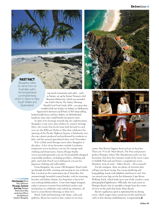### **Drivetime**

# Fast Fact

Bangalow takes its name from an Australian palm, Archontophoenix cunninghamiana, which is native to New South Wales and Queensland.

 top-notch restaurants and cafés – such as Satiate, set up by former Tetsuya's chef Shannon Debreceny, which was awarded one Chef's Hat by *The Sydney Morning Herald Good Food Guide* 2010 – an eatery that wouldn't look out of place in Sydney or Melbourne. Squeezed in between you'll find a CWA shop selling

knitted teddy bears and lace doilies, an old-fashioned hardware store and a small family-run grocery store.

In spite of its leanings towards big-city sophistication, Bangalow is one town that relishes its country heritage. Here, the events that locals most look forward to each year are the Billycart Derby in May that celebrates the opening of the Pacific Highway bypass; a fabulously overthe-top cabaret produced and performed by residents in July; and the annual agricultural show each November.

If it's a little retail therapy you're after, Bangalow is the place. A few of my favourites include Lazybones Emporium (*www.lazybones.com.au*) for vintage-style clothing and homewares; Aurora Design Studio (*www.auroradesignstudio.com.au*) for beautifully designed sustainable products, including jewellery, clothing and gifts; and Little Peach (*www.littlepeach.com.au*) for Japanese clothing and collectables.

From Bangalow, the scenic Old Bangalow Road winds up through the hills, twisting and turning its way to Byron Bay. Located on the easternmost tip of Australia, this mesmerisingly beautiful coastal hamlet, with its stunning beaches and balmy climate, has long been a haven for sun-seeking holidaymakers. A one-time hippie hangout, today it attracts everyone from laid-back surfers and backpackers to celebrities and cashed-up urbanites, all keen to count Byron's blessings as their own.

Brash, bold and brimming with shops, cafés and galleries, Byron has much to lure visitors to its town





centre. But Byron's biggest drawcard are its beaches. There are 15 in all: Main Beach, The Pass and pictureperfect Wategos (where Elle Macpherson surfs) are hot favourites, but drive five minutes south of the town centre to Suffolk Park and you'll have a magnificent sevenkilometre strip of sand – Tallow Beach – all to yourself.

For the energetic, there are plenty of activities that will get your heart racing. You can go skydiving and hang-gliding, kayak with dolphins and learn to surf. You can stretch your legs on the five-kilometre Cape Byron Walking Track, which leads up to one of the country's most photographed lighthouses. Officially, the track starts at Wategos Beach, but it's possible to begin from the centre of town on the path that backs Main Beach.

Byron's egalitarian spirit is epitomised by its dining scene, which ranges from casual toes-in-the-sand beach cafés to fine-dining establishments. Longstanding

*Opening page: Byron* Bay Lighthouse. *This page, clockwise from top:* Wategos Beach, Byron Bay; aerial view of Byron Bay lighthouse; Satiate in Bangalow.